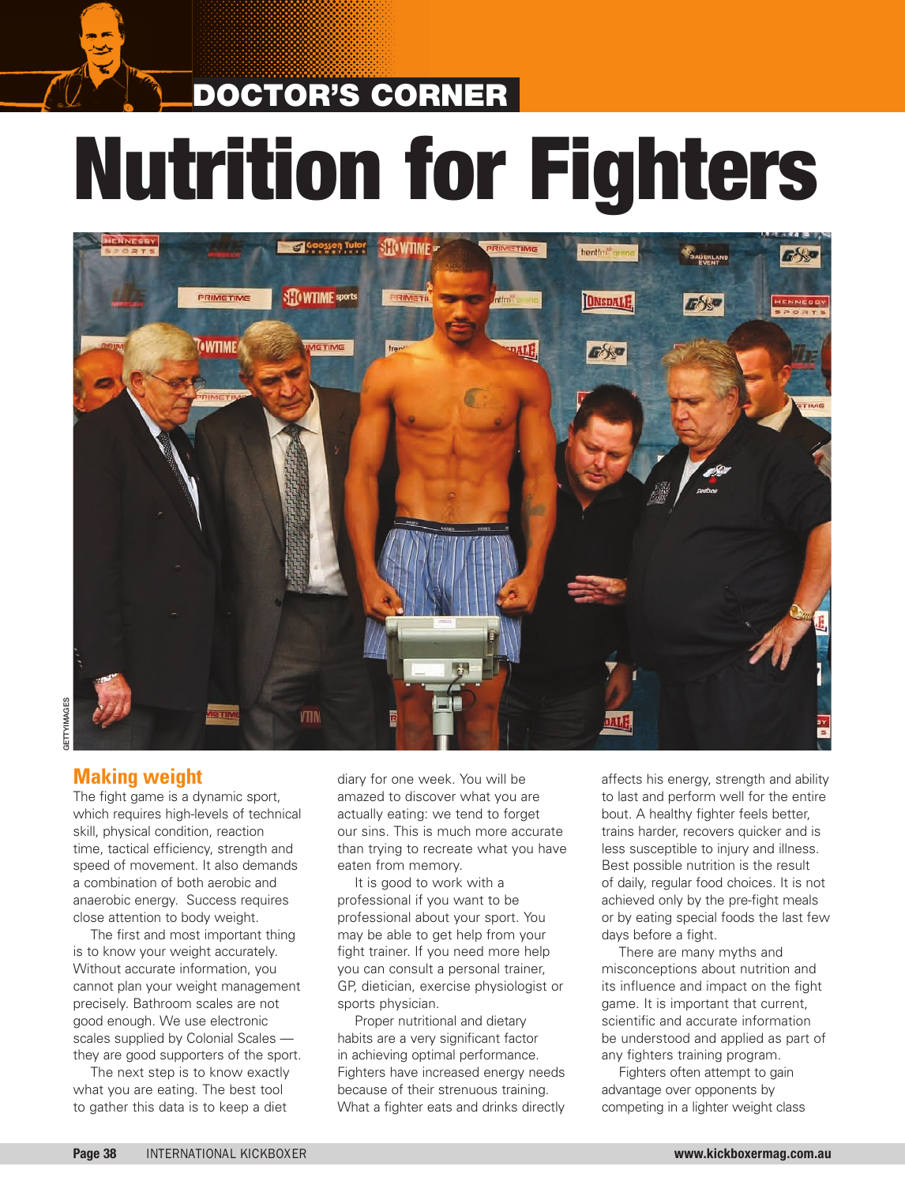# DOCTOR'S CORNER Nutrition for Fighters



## **Making weight**

The fight game is a dynamic sport, which requires high-levels of technical skill, physical condition, reaction time, tactical efficiency, strength and speed of movement. It also demands a combination of both aerobic and anaerobic energy. Success requires close attention to body weight.

The first and most important thing is to know your weight accurately. Without accurate information, you cannot plan your weight management precisely. Bathroom scales are not good enough. We use electronic scales supplied by Colonial Scales they are good supporters of the sport.

The next step is to know exactly what you are eating. The best tool to gather this data is to keep a diet

diary for one week. You will be amazed to discover what you are actually eating: we tend to forget our sins. This is much more accurate than trying to recreate what you have eaten from memory.

It is good to work with a professional if you want to be professional about your sport. You may be able to get help from your fight trainer. If you need more help you can consult a personal trainer, GP, dietician, exercise physiologist or sports physician.

Proper nutritional and dietary habits are a very significant factor in achieving optimal performance. Fighters have increased energy needs because of their strenuous training. What a fighter eats and drinks directly affects his energy, strength and ability to last and perform well for the entire bout. A healthy fighter feels better, trains harder, recovers quicker and is less susceptible to injury and illness. Best possible nutrition is the result of daily, regular food choices. It is not achieved only by the pre-fight meals or by eating special foods the last few days before a fight.

There are many myths and misconceptions about nutrition and its influence and impact on the fight game. It is important that current, scientific and accurate information be understood and applied as part of any fighters training program.

Fighters often attempt to gain advantage over opponents by competing in a lighter weight class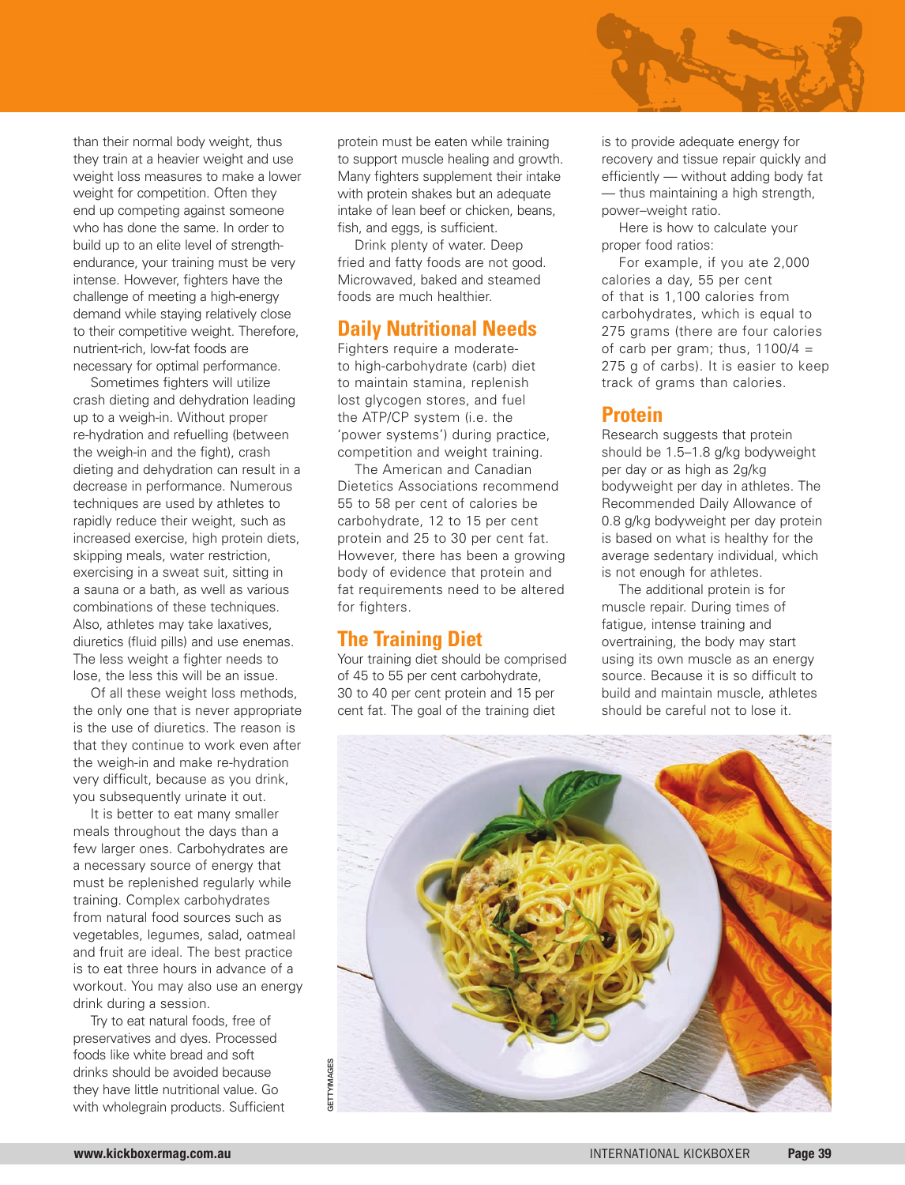

than their normal body weight, thus they train at a heavier weight and use weight loss measures to make a lower weight for competition. Often they end up competing against someone who has done the same. In order to build up to an elite level of strengthendurance, your training must be very intense. However, fighters have the challenge of meeting a high-energy demand while staying relatively close to their competitive weight. Therefore, nutrient-rich, low-fat foods are necessary for optimal performance.

Sometimes fighters will utilize crash dieting and dehydration leading up to a weigh-in. Without proper re-hydration and refuelling (between the weigh-in and the fight), crash dieting and dehydration can result in a decrease in performance. Numerous techniques are used by athletes to rapidly reduce their weight, such as increased exercise, high protein diets, skipping meals, water restriction, exercising in a sweat suit, sitting in a sauna or a bath, as well as various combinations of these techniques. Also, athletes may take laxatives, diuretics (fluid pills) and use enemas. The less weight a fighter needs to lose, the less this will be an issue.

Of all these weight loss methods, the only one that is never appropriate is the use of diuretics. The reason is that they continue to work even after the weigh-in and make re-hydration very difficult, because as you drink, you subsequently urinate it out.

It is better to eat many smaller meals throughout the days than a few larger ones. Carbohydrates are a necessary source of energy that must be replenished regularly while training. Complex carbohydrates from natural food sources such as vegetables, legumes, salad, oatmeal and fruit are ideal. The best practice is to eat three hours in advance of a workout. You may also use an energy drink during a session.

Try to eat natural foods, free of preservatives and dyes. Processed foods like white bread and soft drinks should be avoided because they have little nutritional value. Go with wholegrain products. Sufficient protein must be eaten while training to support muscle healing and growth. Many fighters supplement their intake with protein shakes but an adequate intake of lean beef or chicken, beans, fish, and eggs, is sufficient.

Drink plenty of water. Deep fried and fatty foods are not good. Microwaved, baked and steamed foods are much healthier.

#### **Daily Nutritional Needs**

Fighters require a moderateto high-carbohydrate (carb) diet to maintain stamina, replenish lost glycogen stores, and fuel the ATP/CP system (i.e. the 'power systems') during practice, competition and weight training.

The American and Canadian Dietetics Associations recommend 55 to 58 per cent of calories be carbohydrate, 12 to 15 per cent protein and 25 to 30 per cent fat. However, there has been a growing body of evidence that protein and fat requirements need to be altered for fighters.

# **The Training Diet**

Your training diet should be comprised of 45 to 55 per cent carbohydrate, 30 to 40 per cent protein and 15 per cent fat. The goal of the training diet

is to provide adequate energy for recovery and tissue repair quickly and efficiently — without adding body fat — thus maintaining a high strength, power–weight ratio.

Here is how to calculate your proper food ratios:

For example, if you ate 2,000 calories a day, 55 per cent of that is 1,100 calories from carbohydrates, which is equal to 275 grams (there are four calories of carb per gram; thus,  $1100/4 =$ 275 g of carbs). It is easier to keep track of grams than calories.

#### **Protein**

Research suggests that protein should be 1.5–1.8 g/kg bodyweight per day or as high as 2g/kg bodyweight per day in athletes. The Recommended Daily Allowance of 0.8 g/kg bodyweight per day protein is based on what is healthy for the average sedentary individual, which is not enough for athletes.

The additional protein is for muscle repair. During times of fatigue, intense training and overtraining, the body may start using its own muscle as an energy source. Because it is so difficult to build and maintain muscle, athletes should be careful not to lose it.

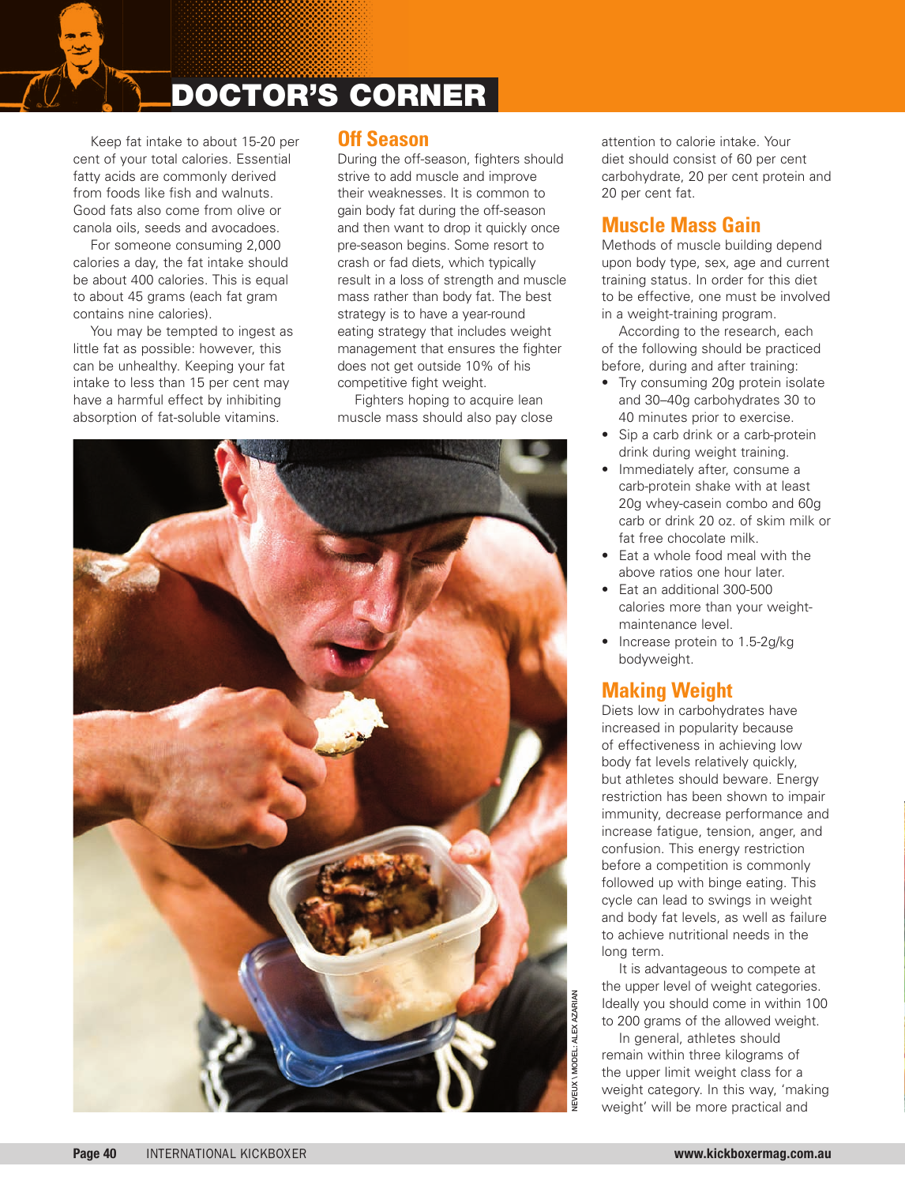# DOCTOR'S CORNER

Keep fat intake to about 15-20 per cent of your total calories. Essential fatty acids are commonly derived from foods like fish and walnuts. Good fats also come from olive or canola oils, seeds and avocadoes.

For someone consuming 2,000 calories a day, the fat intake should be about 400 calories. This is equal to about 45 grams (each fat gram contains nine calories).

You may be tempted to ingest as little fat as possible: however, this can be unhealthy. Keeping your fat intake to less than 15 per cent may have a harmful effect by inhibiting absorption of fat-soluble vitamins.

#### **Off Season**

During the off-season, fighters should strive to add muscle and improve their weaknesses. It is common to gain body fat during the off-season and then want to drop it quickly once pre-season begins. Some resort to crash or fad diets, which typically result in a loss of strength and muscle mass rather than body fat. The best strategy is to have a year-round eating strategy that includes weight management that ensures the fighter does not get outside 10% of his competitive fight weight.

Fighters hoping to acquire lean muscle mass should also pay close



attention to calorie intake. Your diet should consist of 60 per cent carbohydrate, 20 per cent protein and 20 per cent fat.

## **Muscle Mass Gain**

Methods of muscle building depend upon body type, sex, age and current training status. In order for this diet to be effective, one must be involved in a weight-training program.

According to the research, each of the following should be practiced before, during and after training:

- Try consuming 20g protein isolate and 30–40g carbohydrates 30 to 40 minutes prior to exercise.
- Sip a carb drink or a carb-protein drink during weight training.
- Immediately after, consume a carb-protein shake with at least 20g whey-casein combo and 60g carb or drink 20 oz. of skim milk or fat free chocolate milk.
- Eat a whole food meal with the above ratios one hour later.
- Fat an additional 300-500 calories more than your weightmaintenance level.
- Increase protein to 1.5-2g/kg bodyweight.

# **Making Weight**

Diets low in carbohydrates have increased in popularity because of effectiveness in achieving low body fat levels relatively quickly, but athletes should beware. Energy restriction has been shown to impair immunity, decrease performance and increase fatigue, tension, anger, and confusion. This energy restriction before a competition is commonly followed up with binge eating. This cycle can lead to swings in weight and body fat levels, as well as failure to achieve nutritional needs in the long term.

It is advantageous to compete at the upper level of weight categories. Ideally you should come in within 100 to 200 grams of the allowed weight.

In general, athletes should remain within three kilograms of the upper limit weight class for a weight category. In this way, 'making weight' will be more practical and